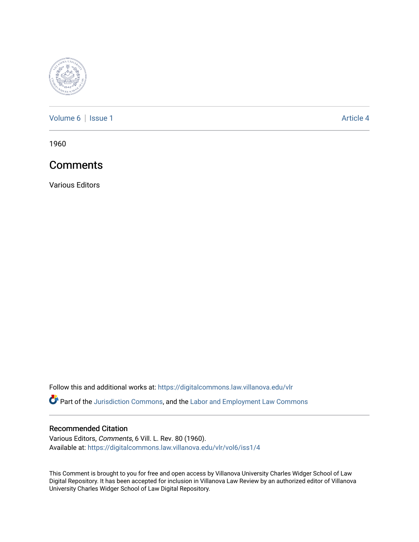

[Volume 6](https://digitalcommons.law.villanova.edu/vlr/vol6) | [Issue 1](https://digitalcommons.law.villanova.edu/vlr/vol6/iss1) Article 4

1960

# **Comments**

Various Editors

Follow this and additional works at: [https://digitalcommons.law.villanova.edu/vlr](https://digitalcommons.law.villanova.edu/vlr?utm_source=digitalcommons.law.villanova.edu%2Fvlr%2Fvol6%2Fiss1%2F4&utm_medium=PDF&utm_campaign=PDFCoverPages)

Part of the [Jurisdiction Commons](http://network.bepress.com/hgg/discipline/850?utm_source=digitalcommons.law.villanova.edu%2Fvlr%2Fvol6%2Fiss1%2F4&utm_medium=PDF&utm_campaign=PDFCoverPages), and the [Labor and Employment Law Commons](http://network.bepress.com/hgg/discipline/909?utm_source=digitalcommons.law.villanova.edu%2Fvlr%2Fvol6%2Fiss1%2F4&utm_medium=PDF&utm_campaign=PDFCoverPages)

# Recommended Citation

Various Editors, Comments, 6 Vill. L. Rev. 80 (1960). Available at: [https://digitalcommons.law.villanova.edu/vlr/vol6/iss1/4](https://digitalcommons.law.villanova.edu/vlr/vol6/iss1/4?utm_source=digitalcommons.law.villanova.edu%2Fvlr%2Fvol6%2Fiss1%2F4&utm_medium=PDF&utm_campaign=PDFCoverPages)

This Comment is brought to you for free and open access by Villanova University Charles Widger School of Law Digital Repository. It has been accepted for inclusion in Villanova Law Review by an authorized editor of Villanova University Charles Widger School of Law Digital Repository.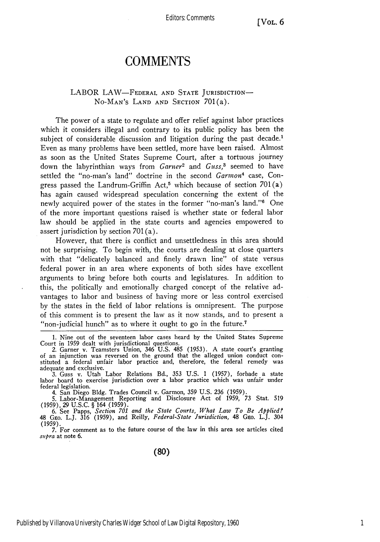Editors: Comments

# **COMMENTS**

### LABOR LAW-FEDERAL AND STATE JURISDICTION-No-MAN's LAND AND SECTION 701(a).

The power of a state to regulate and offer relief against labor practices which it considers illegal and contrary to its public policy has been the subject of considerable discussion and litigation during the past decade.<sup>1</sup> Even as many problems have been settled, more have been raised. Almost as soon as the United States Supreme Court, after a tortuous journey down the labyrinthian ways from *Garner2* and *Guss,3* seemed to have settled the "no-man's land" doctrine in the second *Garmon4* case, Congress passed the Landrum-Griffin Act,<sup>5</sup> which because of section  $701(a)$ has again caused widespread speculation concerning the extent of the newly acquired power of the states in the former "no-man's land."6 One of the more important questions raised is whether state or federal labor law should be applied in the state courts and agencies empowered to assert jurisdiction by section 701 (a).

However, that there is conflict and unsettledness in this area should not be surprising. To begin with, the courts are dealing at close quarters with that "delicately balanced and finely drawn line" of state versus federal power in an area where exponents of both sides have excellent arguments to bring before both courts and legislatures. In addition to this, the politically and emotionally charged concept of the relative advantages to labor and business of having more or less control exercised by the states in the field of labor relations is omnipresent. The purpose of this comment is to present the law as it now stands, and to present a "non-judicial hunch" as to where it ought to go in the future.<sup>7</sup>

4. San Diego Bldg. Trades Council v. Garmon, 359 U.S. 236 (1959).

5. Labor-Management Reporting and Disclosure Act of 1959, 73 Stat. 519 (1959), **29** U.S.C. § 164 (1959). **6.** See Papps, *Section 701 and the State Courts, What Law To Be Applied?*

48 GEO. L.J. 316 (1959), and Reilly, *Federal-State Jurisdiction*, 48 GEO. L.J. 304 (1959).

7. For comment as to the future course of the law in this area see articles cited supra at note 6.

**(80)**

<sup>1.</sup> Nine out of the seventeen labor cases heard by the United States Supreme Court in 1959 dealt with jurisdictional questions. 2. Garner v. Teamsters Union, 346 U.S. 485 (1953). A state court's granting

of an injunction was reversed on the ground that the alleged union conduct constituted a federal unfair labor practice and, therefore, the federal remedy was adequate and exclusive.

**<sup>3.</sup>** Guss v. Utah Labor Relations Bd., 353 U.S. 1 (1957), forbade a state labor board to exercise jurisdiction over a labor practice which was unfair under federal legislation.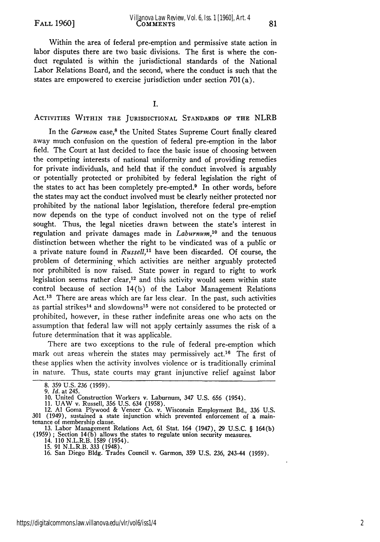Within the area of federal pre-emption and permissive state action in labor disputes there are two basic divisions. The first is where the conduct regulated is within the jurisdictional standards of the National Labor Relations Board, and the second, where the conduct is such that the states are empowered to exercise jurisdiction under section 701(a).

I.

#### ACTIVITIES WITHIN **THE** JURISDICTIONAL **STANDARDS** OF **THE** NLRB

In the *Garmon* case,<sup>8</sup> the United States Supreme Court finally cleared away much confusion on the question of federal pre-emption in the labor field. The Court at last decided to face the basic issue of choosing between the competing interests of national uniformity and of providing remedies for private individuals, and held that if the conduct involved is arguably or potentially protected or prohibited by federal legislation the right of the states to act has been completely pre-empted. $9$  In other words, before the states may act the conduct involved must be clearly neither protected nor prohibited by the national labor legislation, therefore federal pre-emption now depends on the type of conduct involved not on the type of relief sought. Thus, the legal niceties drawn between the state's interest in regulation and private damages made in *Laburnum,10* and the tenuous distinction between whether the right to be vindicated was of a public or a private nature found in *Russell,"* have been discarded. Of course, the problem of determining which activities are neither arguably protected nor prohibited is now raised. State power in regard to right to work legislation seems rather clear,<sup>12</sup> and this activity would seem within state control because of section 14(b) of the Labor Management Relations Act.<sup>13</sup> There are areas which are far less clear. In the past, such activities as partial strikes<sup>14</sup> and slowdowns<sup>15</sup> were not considered to be protected or prohibited, however, in these rather indefinite areas one who acts on the assumption that federal law will not apply certainly assumes the risk of a future determination that it was applicable.

There are two exceptions to the rule of federal pre-emption which mark out areas wherein the states may permissively act.<sup>16</sup> The first of these applies when the activity involves violence or is traditionally criminal in nature. Thus, state courts may grant injunctive relief against labor

<sup>8. 359</sup> U.S. 236 (1959).

<sup>9.</sup> *Id.* at 245.

<sup>10.</sup> United Construction Workers v. Laburnum, 347 U.S. 656 (1954). 11. UAW v. Russell, 356 U.S. 634 (1958). 12. **Al** Goma Plywood & Veneer Co. v. Wisconsin Employment Bd., 336 U.S. 301 (1949), sustained a state injunction which prevented enforcement of a maintenance of membership clause.<br>13. Labor Management Relations Act, 61 Stat. 164 (1947), 29 U.S.C. § 164(b)

<sup>13.</sup> Labor Management Relations Act, 61 Stat. 164 (1947), 29 U.S.C. § 164(b) (1959); Section 14(b) allows the states to regulate union security measures.

<sup>14. 110</sup> N.L.R.B. 1589 (1954).<br>15. 91 N.L.R.B. 333 (1948).<br>16. San Diego Bldg. Trades Council v. Garmon, 359 U.S. 236, 243-44 (1959)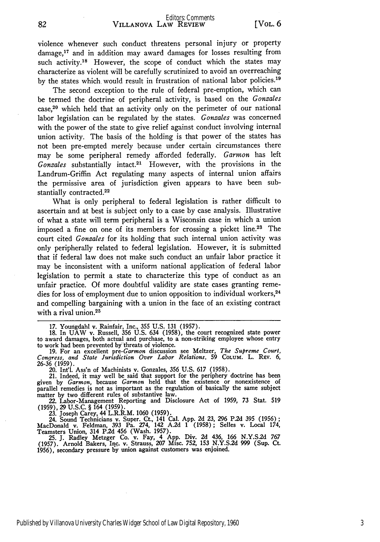violence whenever such conduct threatens personal injury or property damage,<sup>17</sup> and in addition may award damages for losses resulting from such activity.<sup>18</sup> However, the scope of conduct which the states may characterize as violent will be carefully scrutinized to avoid an overreaching by the states which would result in frustration of national labor policies.<sup>19</sup>

The second exception to the rule of federal pre-emption, which can be termed the doctrine of peripheral activity, is based on the *Gonzales*  $case<sup>20</sup>$  which held that an activity only on the perimeter of our national labor legislation can be regulated by the states. *Gonzales* was concerned with the power of the state to give relief against conduct involving internal union activity. The basis of the holding is that power of the states has not been pre-empted merely because under certain circumstances there may be some peripheral remedy afforded federally. *Garmon* has left *Gonzales* substantially intact.<sup>21</sup> However, with the provisions in the Landrum-Griffin Act regulating many aspects of internal union affairs the permissive area of jurisdiction given appears to have been substantially contracted.<sup>22</sup>

What is only peripheral to federal legislation is rather difficult to ascertain and at best is subject only to a case by case analysis. Illustrative of what a state will term peripheral is a Wisconsin case in which a union imposed a fine on one of its members for crossing a picket line.2 3 The court cited *Gonzales* for its holding that such internal union activity was only peripherally related to federal legislation. However, it is submitted that if federal law does not make such conduct an unfair labor practice it may be inconsistent with a uniform national application of federal labor legislation to permit a state to characterize this type of conduct as an unfair practice. Of more doubtful validity are state cases granting remedies for loss of employment due to union opposition to individual workers,<sup>24</sup> and compelling bargaining with a union in the face of an existing contract with a rival union. $25$ 

20. Int'l. Ass'n of Machinists v. Gonzales, **356** U.S. 617 (1958).

21. Indeed, it may well be said that support for the periphery doctrine has been given by *Garmon,* because *Garmon* held that the existence or nonexistence of parallel remedies is not as important as the regulation of basically the same subject matter by two different rules of substantive law. 22. Labor-Management Reporting and Disclosure Act of 1959, 73 Stat. 519

(1959), 29 U.S.C. § 164 (1959).

23. Joseph Carey, 44 L.R.R.M. 1060 (1959).<br>24. Sound Technicians v. Super. Ct., 141 Cal. App. 2d 23, 296 P.2d 395 (1956);<br>MacDonald v. Feldman, 393 Pa. 274, 142 A.2d 1 (1958); Selles v. Local 174<br>Teamsters Union, 314 P.2d

**25.** J. Radley Metzger Co. v. Fay, 4 App. Div. 2d 436, 166 N.Y.S.2d **767** (1957). Arnold Bakers, Inc. v. Strauss, **207** Misc. **752, 153** N.Y.S.2d 999 (Sup. Ct. **1956),** secondary pressure by union against customers was enjoined.

<sup>17.</sup> Youngdahl v. Rainfair, Inc., 355 U.S. 131 (1957). 18. In UAW v. Russell, 356 U.S. 634 (1958), the court recognized state power to award damages, both actual and purchase, to a non-striking employee whose entry

to work had been prevented by threats of violence.<br>19. For an excellent *pre-Garmon* discussion see Meltzer, *The Supreme Court*, Congress, and State Jurisdiction Over Labor Relations, 59 Co<sub>L</sub>um. L. Rev. 6,<br>26-36 (1959).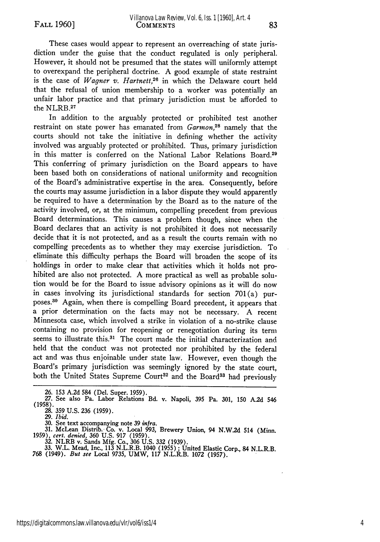These cases would appear to represent an overreaching of state jurisdiction under the guise that the conduct regulated is only peripheral. However, it should not be presumed that the states will uniformly attempt to overexpand the peripheral doctrine. A good example of state restraint is the case of *Wagner v. Hartnett,26* in which the Delaware court held that the refusal of union membership to a worker was potentially an unfair labor practice and that primary jurisdiction must be afforded to the NLRB.27

In addition to the arguably protected or prohibited test another restraint on state power has emanated from *Garmon,28* namely that the courts should not take the initiative in defining whether the activity involved was arguably protected or prohibited. Thus, primary jurisdiction in this matter is conferred on the National Labor Relations Board.<sup>29</sup> This conferring of primary jurisdiction on the Board appears to have been based both on considerations of national uniformity and recognition of the Board's administrative expertise in the area. Consequently, before the courts may assume jurisdiction in a labor dispute they would apparently be required to have a determination by the Board as to the nature of the activity involved, or, at the minimum, compelling precedent from previous Board determinations. This causes a problem though, since when the Board declares that an activity is not prohibited it does not necessarily decide that it is not protected, and as a result the courts remain with no compelling precedents as to whether they may exercise jurisdiction. To eliminate this difficulty perhaps the Board will broaden the scope of its holdings in order to make clear that activities which it holds not prohibited are also not protected. A more practical as well as probable solution would be for the Board to issue advisory opinions as it will do now in cases involving its jurisdictional standards for section 701(a) purposes.30 Again, when there is compelling Board precedent, it appears that a prior determination on the facts may not be necessary. A recent Minnesota case, which involved a strike in violation of a no-strike clause containing no provision for reopening or renegotiation during its term seems to illustrate this.<sup>31</sup> The court made the initial characterization and held that the conduct was not protected nor prohibited by the federal act and was thus enjoinable under state law. However, even though the Board's primary jurisdiction was seemingly ignored by the state court, both the United States Supreme Court<sup>32</sup> and the Board<sup>33</sup> had previously

**29.** *Ibid.*

30. See text accompanying note 39 infra.<br>
31. McLean Distrib. Co. v. Local 993, Brewery Union, 94 N.W.2d 514 (Minn.<br>
1959), cert. denied, 360 U.S. 917 (1959).<br>
32. NLRB v. Sands Mfg. Co., 306 U.S. 332 (1939).<br>
33. W.L. Mea

<sup>26. 153</sup> A.2d 584 (Del. Super. 1959). **27.** See also Pa. Labor Relations Bd. v. Napoli, 395 Pa. 301, 150 A.2d 546 (1958). **28. 359** U.S. **236** (1959).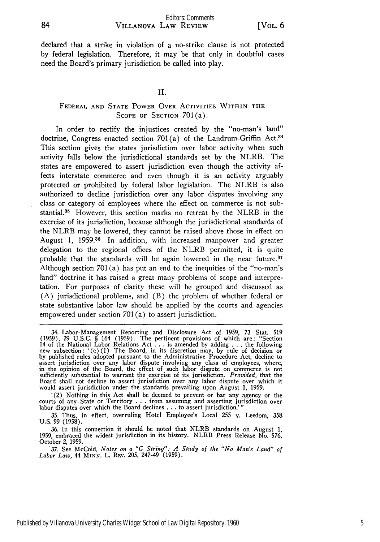declared that a strike in violation of a no-strike clause is not protected by federal legislation. Therefore, it may be that only in doubtful cases need the Board's primary jurisdiction be called into play.

### II.

## FEDERAL **AND STATE** POWER OVER ACTIVITIES WITHIN **THE** SCOPE OF SECTION 701(a).

In order to rectify the injustices created by the "no-man's land" doctrine, Congress enacted section  $701(a)$  of the Landrum-Griffin Act.<sup>34</sup> This section gives the states jurisdiction over labor activity when such activity falls below the jurisdictional standards set by the NLRB. The states are empowered to assert jurisdiction even though the activity affects interstate commerce and even though it is an activity arguably protected or prohibited by federal labor legislation. The NLRB is also authorized to decline jurisdiction over any labor disputes involving any class or category of employees where the effect on commerce is not substantial.33 However, this section marks no retreat by the NLRB in the exercise of its jurisdiction, because although the jurisdictional standards of the NLRB may be lowered, they cannot be raised above those in effect on August 1, 1959.<sup>36</sup> In addition, with increased manpower and greater delegation to the regional offices of the NLRB permitted, it is quite probable that the standards will be again lowered in the near future. $37$ Although section 701 **(a)** has put an end to the inequities of the "no-man's land" doctrine it has raised a great many problems of scope and interpretation. For purposes of clarity these will be grouped and discussed as (A) jurisdictional problems, and (B) the problem of whether federal or state substantive labor law should be applied by the courts and agencies empowered under section 701 (a) to assert jurisdiction.

'(2) Nothing in this Act shall be deemed to prevent or bar any agency or the courts of any State or Territory ...from assuming and asserting jurisdiction over labor disputes over which the Board declines .**..** to assert jurisdiction.'"

35. Thus, in effect, overruling Hotel Employee's Local **255** v. Leedom, **358** U.S. 99 (1958)

**36.** In this connection it should be noted that NLRB standards on August 1, 1959, embraced the widest jurisdiction in its history. NLRB Press Release No. 576,

October 2, 1959. *37.* See McCoid, *Notes on a "G String": A Study of the "No Man's Land" of Labor Law,* 44 **MINN.** L. Rxv. 205, 247-49 (1959).

<sup>34.</sup> Labor-Management Reporting and Disclosure Act of 1959, 73 Stat. **519** (1959), 29 U.S.C. § 164 (1959). The pertinent provisions of which are: "Section 14 of the National Labor Relations Act . . . is amended by adding . . . the following<br>new subsection:  $'(c)(1)$  The Board, in its discretion may, by rule of decision or<br>by published rules adopted pursuant to the Administrat in the opinion of the Board, the effect of such labor dispute on commerce is not sufficiently substantial to warrant the exercise of its jurisdiction. *Provided,* that the Board shall not decline to assert jurisdiction over any labor dispute over which it would assert jurisdiction under the standards prevailing upon August **1,** 1959.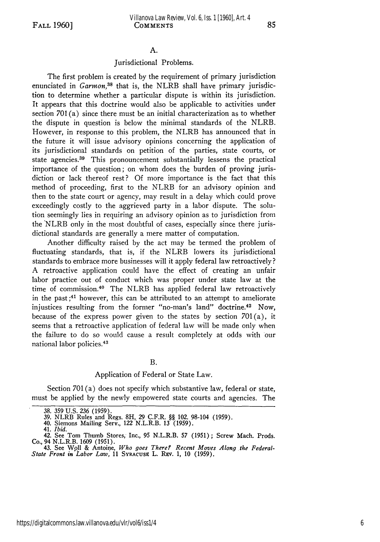#### A.

#### Jurisdictional Problems.

The first problem is created **by** the requirement of primary jurisdiction enunciated in *Garmon,38* that is, the NLRB shall have primary jurisdiction to determine whether a particular dispute is within its jurisdiction. It appears that this doctrine would also be applicable to activities under section 701 (a) since there must be an initial characterization as to whether the dispute in question is below the minimal standards of the NLRB. However, in response to this problem, the NLRB has announced that in the future it will issue advisory opinions concerning the application of its jurisdictional standards on petition of the parties, state courts, or state agencies.<sup>39</sup> This pronouncement substantially lessens the practical importance of the question; on whom does the burden of proving jurisdiction or lack thereof rest? **Of** more importance is the fact that this method of proceeding, first to the NLRB for an advisory opinion and then to the state court or agency, may result in a delay which could prove exceedingly costly to the aggrieved party in a labor dispute. The solution seemingly lies in requiring an advisory opinion as to jurisdiction from the "NLRB only in the most doubtful of cases, especially since there jurisdictional standards are generally a mere matter of computation.

Another difficulty raised by the act may be termed the problem of fluctuating standards, that is, if the NLRB lowers its jurisdictional standards to embrace more businesses will it apply federal law retroactively? A retroactive application could have the effect of creating an unfair labor practice out of conduct which was proper under state law at the time of commission.40 The NLRB has applied federal law retroactively in the past ;41 however, this can be attributed to an attempt to ameliorate injustices resulting from the former "no-man's land" doctrine.42 Now, because of the express power given to the states by section  $701(a)$ , it seems that a retroactive application of federal law will be made only when the failure to do so would cause a result completely at odds with our national labor policies. <sup>43</sup>

#### B.

#### Application of Federal or State Law.

Section 701(a) does not specify which substantive law, federal or state, must be applied by the newly empowered state courts and agencies. The

<sup>38. 359</sup> U.S. 236 (1959).<br>39. NLRB Rules and Regs. 8H, 29 C.F.R. §§ 102. 98-104 (1959)

<sup>40.</sup> Siemons Mailing Serv., 122 N.L.R.B. 13 (1959).

<sup>41.</sup> *Ibid.*

<sup>42.</sup> See Tom Thumb Stores, Inc., 95 N.L.R.B. **57 (1951);** Screw Mach. Prods. Co., 94 N.L.R.B. **1609 (1951).**

<sup>43.</sup> See Woll & Antoine, *Who goes There? Recent Moves Along the Federal-State Front in Labor Law,* **11** SYRACUsg L. Rxv. **1, 10 (1959).**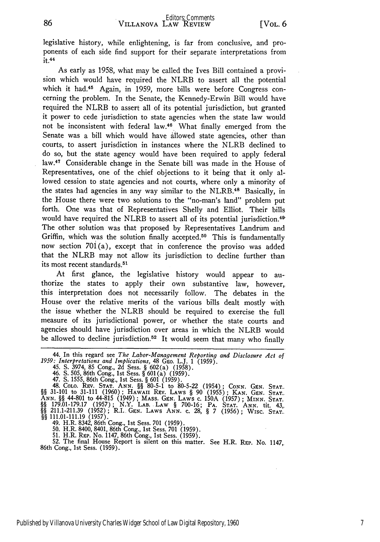legislative history, while enlightening, is far from conclusive, and proponents of each side find support for their separate interpretations from  $it.44$ 

As early as 1958, what may be called the Ives Bill contained a provision which would have required the NLRB to assert all the potential which it had.<sup>45</sup> Again, in 1959, more bills were before Congress concerning the problem. In the Senate, the Kennedy-Erwin Bill would have required the NLRB to assert all of its potential jurisdiction, but granted it power to cede jurisdiction to state agencies when the state law would not be inconsistent with federal law.40 What finally emerged from the Senate was a bill which would have allowed state agencies, other than courts, to assert jurisdiction in instances where the NLRB declined to do so, but the state agency would have been required to apply federal law.<sup>47</sup> Considerable change in the Senate bill was made in the House of Representatives, one of the chief objections to it being that it only allowed cession to state agencies and not courts, where only a minority of the states had agencies in any way similar to the NLRB.<sup>48</sup> Basically, in the House there were two solutions to the "no-man's land" problem put forth. One was that of Representatives Shelly and Elliot. Their bills would have required the NLRB to assert all of its potential jurisdiction.<sup>49</sup> The other solution was that proposed by Representatives Landrum and Griffin, which was the solution finally accepted.<sup>50</sup> This is fundamentally now section 701(a), except that in conference the proviso was added that the NLRB may not allow its jurisdiction to decline further than its most recent standards.<sup>51</sup>

At first glance, the legislative history would appear to authorize the states to apply their own substantive law, however, this interpretation does not necessarily follow. The debates in the House over the relative merits of the various bills dealt mostly with the issue whether the NLRB should be required to exercise the full measure of its jurisdictional power, or whether the state courts and agencies should have jurisdiction over areas in which the NLRB would be allowed to decline jurisdiction.<sup>52</sup> It would seem that many who finally

46. S. 505, 86th Cong., 1st Sess. § 601(a) (1959).<br>47. S. 1555, 86th Cong., 1st Sess. § 601 (a) (1959).<br>48. Colo. Rev. Stat. ANN. §§ 80-5-1 to 80-5-22 (1954); CONN. GEN. Stat<br>§§ 31-101 to 31-111 (1960); HAWAII REV. LAWS § ANN. §§ 44-801 to 44-815 (1949); MASS. GEN. LAWS c. 150A (1957); MINN. STAT.<br>§§ 179.01-179.17 (1957); N.Y. LAB. LAW § 700-16; PA. STAT. ANN. STAT.<br>§§ 211.1-211.39 (1952); R.I. GEN. LAW § 700-16; PA. STAT. ANN. tit. 43,<br>§§

**51.** H.R. Rgp. No. 1147, 86th Cong., Ist Sess. (1959). 52. The final House Report is silent on this matter. See H.R. RxP. No. 1147, 86th Cong., **1st** Sess. (1959).

<sup>44.</sup> In this regard see *The Labor-Management Reporting and Disclosure Act of 1959: Interpretations and Implications*, <sup>48</sup> GEO. L.J. 1 (1959). 45. S. 3974, 85 Cong., 2d Sess. § 602(a) (1958).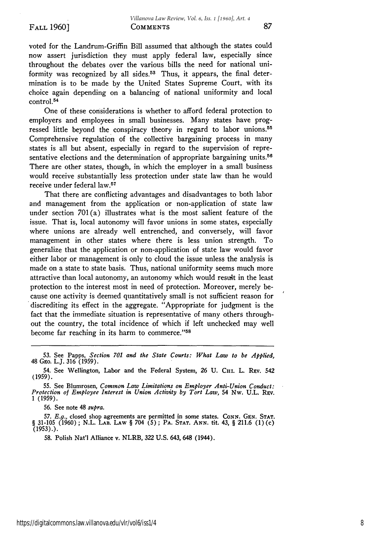voted for the Landrum-Griffin Bill assumed that although the states could now assert jurisdiction they must apply federal law, especially since throughout the debates over the various bills the need for national uniformity was recognized by all sides.<sup>53</sup> Thus, it appears, the final determination is to be made by the United States Supreme Court, with its choice again depending on a balancing of national uniformity and local control. <sup>54</sup>

One of these considerations is whether to afford federal protection to employers and employees in small businesses. Many states have progressed little beyond the conspiracy theory in regard to labor unions.<sup>55</sup> Comprehensive regulation of the collective bargaining process in many states is all but absent, especially in regard to the supervision of representative elections and the determination of appropriate bargaining units.<sup>56</sup> There are other states, though, in which the employer in a small business would receive substantially less protection under state law than he would receive under federal law.<sup>57</sup>

That there are conflicting advantages and disadvantages to both labor and management from the application or non-application of state law under section  $701(a)$  illustrates what is the most salient feature of the issue. That is, local autonomy will favor unions in some states, especially where unions are already well entrenched, and conversely, will favor management in other states where there is less union strength. To generalize that the application or non-application of state law would favor either labor or management is only to cloud the issue unless the analysis is made on a state to state basis. Thus, national uniformity seems much more attractive than local autonomy, an autonomy which would result in the least protection to the interest most in need of protection. Moreover, merely because one activity is deemed quantitatively small is not sufficient reason for discrediting its effect in the aggregate. "Appropriate for judgment is the fact that the immediate situation is representative of many others throughout the country, the total incidence of which if left unchecked may well become far reaching in its harm to commerce."<sup>58</sup>

56. See note 48 *supra.*

57. *E.g.*, closed shop agreements are permitted in some states. CONN. GEN. STAT **§** 31-105 (1960) ; N.L. **LAB.** LAW § 704 (5) ; **PA. STAT. ANN.** tit. 43, § 211.6 (1) (c) (1953).).

58. Polish Nat'l Alliance v. NLRB, 322 U.S. 643, 648 (1944).

<sup>53.</sup> See Papps, *Section 701 and the State Courts: What Law to be Applied,* 48 GEO. L.J. 316 (1959).

<sup>54.</sup> See Wellington, Labor and the Federal System, 26 U. CHI. L. REV. 542 (1959).

<sup>55.</sup> See Blumrosen, *Common Law Limitations on Employer Anti-Union Conduct: Protection of Employee Interest in Union Activity by Tort Law,* 54 Nw. U.L. Rev. 1 (1959).